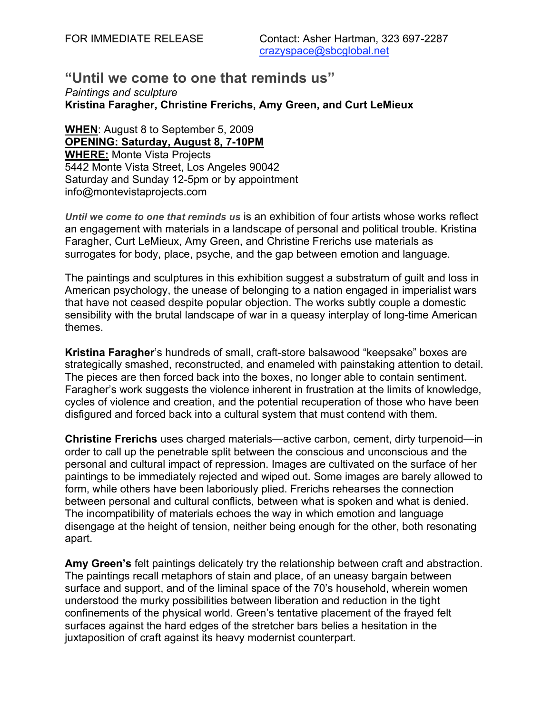### **"Until we come to one that reminds us"** *Paintings and sculpture* **Kristina Faragher, Christine Frerichs, Amy Green, and Curt LeMieux**

**WHEN**: August 8 to September 5, 2009 **OPENING: Saturday, August 8, 7-10PM WHERE:** Monte Vista Projects 5442 Monte Vista Street, Los Angeles 90042 Saturday and Sunday 12-5pm or by appointment info@montevistaprojects.com

*Until we come to one that reminds us* is an exhibition of four artists whose works reflect an engagement with materials in a landscape of personal and political trouble. Kristina Faragher, Curt LeMieux, Amy Green, and Christine Frerichs use materials as surrogates for body, place, psyche, and the gap between emotion and language.

The paintings and sculptures in this exhibition suggest a substratum of guilt and loss in American psychology, the unease of belonging to a nation engaged in imperialist wars that have not ceased despite popular objection. The works subtly couple a domestic sensibility with the brutal landscape of war in a queasy interplay of long-time American themes.

**Kristina Faragher**'s hundreds of small, craft-store balsawood "keepsake" boxes are strategically smashed, reconstructed, and enameled with painstaking attention to detail. The pieces are then forced back into the boxes, no longer able to contain sentiment. Faragher's work suggests the violence inherent in frustration at the limits of knowledge, cycles of violence and creation, and the potential recuperation of those who have been disfigured and forced back into a cultural system that must contend with them.

**Christine Frerichs** uses charged materials—active carbon, cement, dirty turpenoid—in order to call up the penetrable split between the conscious and unconscious and the personal and cultural impact of repression. Images are cultivated on the surface of her paintings to be immediately rejected and wiped out. Some images are barely allowed to form, while others have been laboriously plied. Frerichs rehearses the connection between personal and cultural conflicts, between what is spoken and what is denied. The incompatibility of materials echoes the way in which emotion and language disengage at the height of tension, neither being enough for the other, both resonating apart.

**Amy Green's** felt paintings delicately try the relationship between craft and abstraction. The paintings recall metaphors of stain and place, of an uneasy bargain between surface and support, and of the liminal space of the 70's household, wherein women understood the murky possibilities between liberation and reduction in the tight confinements of the physical world. Green's tentative placement of the frayed felt surfaces against the hard edges of the stretcher bars belies a hesitation in the juxtaposition of craft against its heavy modernist counterpart.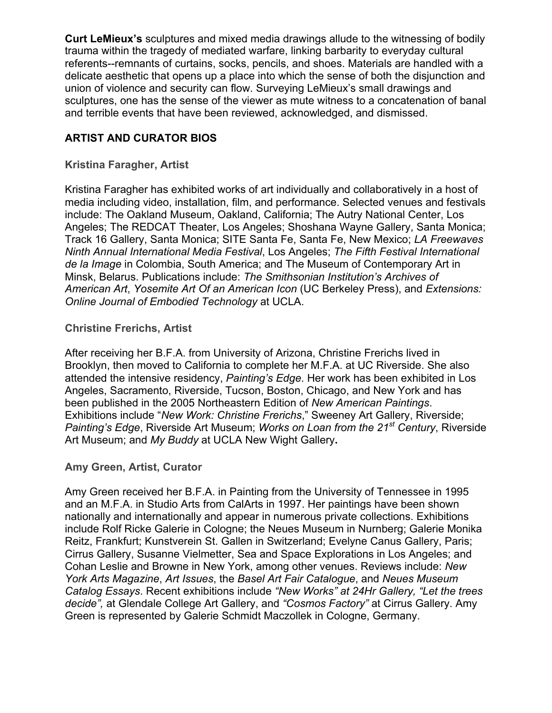**Curt LeMieux's** sculptures and mixed media drawings allude to the witnessing of bodily trauma within the tragedy of mediated warfare, linking barbarity to everyday cultural referents--remnants of curtains, socks, pencils, and shoes. Materials are handled with a delicate aesthetic that opens up a place into which the sense of both the disjunction and union of violence and security can flow. Surveying LeMieux's small drawings and sculptures, one has the sense of the viewer as mute witness to a concatenation of banal and terrible events that have been reviewed, acknowledged, and dismissed.

# **ARTIST AND CURATOR BIOS**

### **Kristina Faragher, Artist**

Kristina Faragher has exhibited works of art individually and collaboratively in a host of media including video, installation, film, and performance. Selected venues and festivals include: The Oakland Museum, Oakland, California; The Autry National Center, Los Angeles; The REDCAT Theater, Los Angeles; Shoshana Wayne Gallery, Santa Monica; Track 16 Gallery, Santa Monica; SITE Santa Fe, Santa Fe, New Mexico; *LA Freewaves Ninth Annual International Media Festival*, Los Angeles; *The Fifth Festival International de la Image* in Colombia, South America; and The Museum of Contemporary Art in Minsk, Belarus. Publications include: *The Smithsonian Institution's Archives of American Art*, *Yosemite Art Of an American Icon* (UC Berkeley Press), and *Extensions: Online Journal of Embodied Technology* at UCLA.

### **Christine Frerichs, Artist**

After receiving her B.F.A. from University of Arizona, Christine Frerichs lived in Brooklyn, then moved to California to complete her M.F.A. at UC Riverside. She also attended the intensive residency, *Painting's Edge*. Her work has been exhibited in Los Angeles, Sacramento, Riverside, Tucson, Boston, Chicago, and New York and has been published in the 2005 Northeastern Edition of *New American Paintings*. Exhibitions include "*New Work: Christine Frerichs*," Sweeney Art Gallery, Riverside; *Painting's Edge*, Riverside Art Museum; *Works on Loan from the 21st Century*, Riverside Art Museum; and *My Buddy* at UCLA New Wight Gallery**.**

#### **Amy Green, Artist, Curator**

Amy Green received her B.F.A. in Painting from the University of Tennessee in 1995 and an M.F.A. in Studio Arts from CalArts in 1997. Her paintings have been shown nationally and internationally and appear in numerous private collections. Exhibitions include Rolf Ricke Galerie in Cologne; the Neues Museum in Nurnberg; Galerie Monika Reitz, Frankfurt; Kunstverein St. Gallen in Switzerland; Evelyne Canus Gallery, Paris; Cirrus Gallery, Susanne Vielmetter, Sea and Space Explorations in Los Angeles; and Cohan Leslie and Browne in New York, among other venues. Reviews include: *New York Arts Magazine*, *Art Issues*, the *Basel Art Fair Catalogue*, and *Neues Museum Catalog Essays*. Recent exhibitions include *"New Works" at 24Hr Gallery, "Let the trees decide",* at Glendale College Art Gallery, and *"Cosmos Factory"* at Cirrus Gallery. Amy Green is represented by Galerie Schmidt Maczollek in Cologne, Germany.